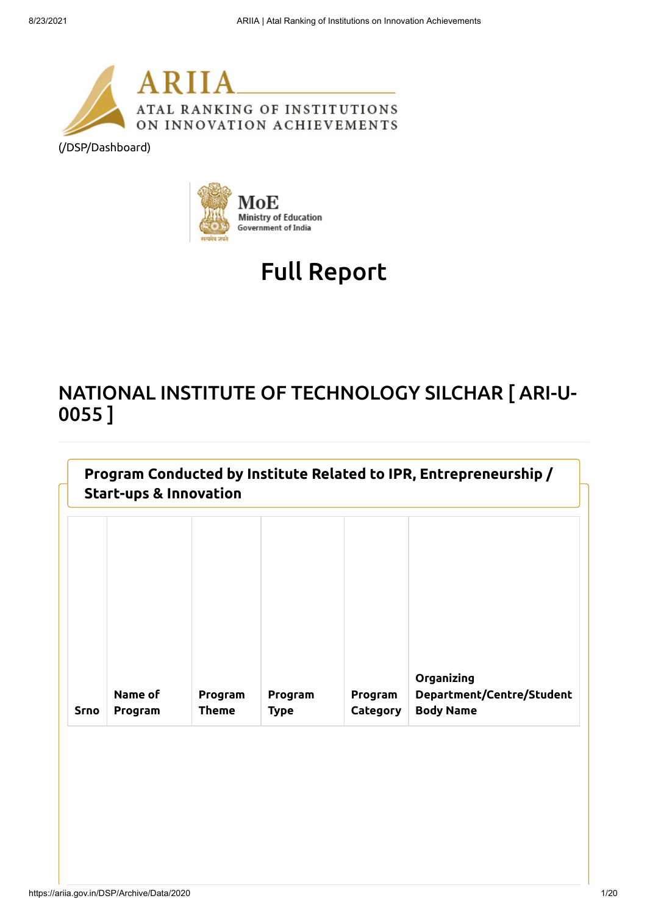

[\(/DSP/Dashboard\)](https://ariia.gov.in/DSP/Dashboard)



# Full Report

## NATIONAL INSTITUTE OF TECHNOLOGY SILCHAR [ ARI-U-0055 ]

| <b>Start-ups &amp; Innovation</b> |                    |                         |                        |                            |                                                             |  |  |
|-----------------------------------|--------------------|-------------------------|------------------------|----------------------------|-------------------------------------------------------------|--|--|
|                                   |                    |                         |                        |                            |                                                             |  |  |
| <b>Srno</b>                       | Name of<br>Program | Program<br><b>Theme</b> | Program<br><b>Type</b> | Program<br><b>Category</b> | Organizing<br>Department/Centre/Student<br><b>Body Name</b> |  |  |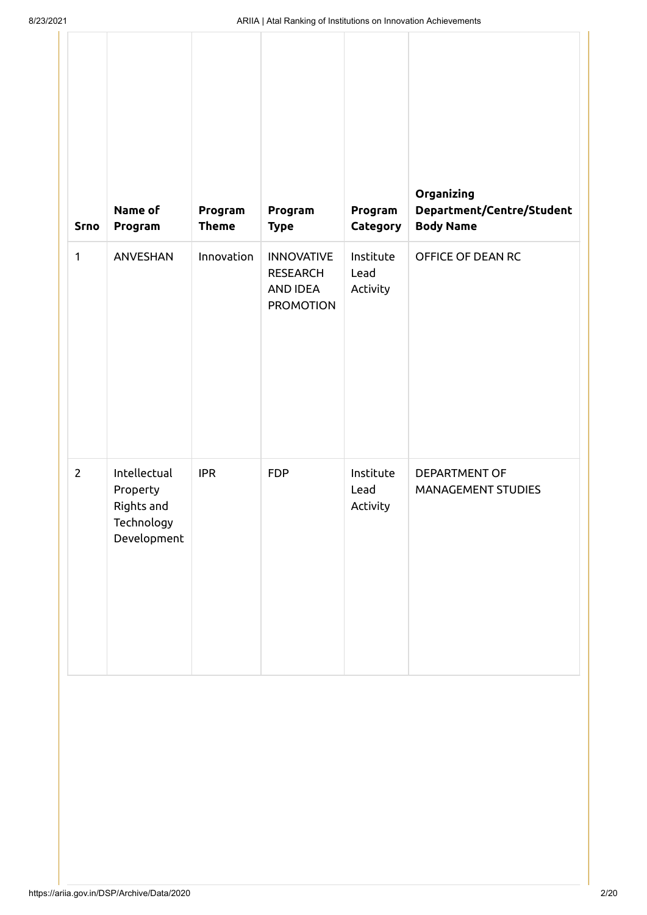| <b>Srno</b>    | Name of<br>Program                                                  | Program<br><b>Theme</b> | Program<br><b>Type</b>                                               | Program<br>Category           | Organizing<br>Department/Centre/Student<br><b>Body Name</b> |
|----------------|---------------------------------------------------------------------|-------------------------|----------------------------------------------------------------------|-------------------------------|-------------------------------------------------------------|
| $\mathbf{1}$   | ANVESHAN                                                            | Innovation              | <b>INNOVATIVE</b><br><b>RESEARCH</b><br>AND IDEA<br><b>PROMOTION</b> | Institute<br>Lead<br>Activity | OFFICE OF DEAN RC                                           |
| $\overline{2}$ | Intellectual<br>Property<br>Rights and<br>Technology<br>Development | <b>IPR</b>              | <b>FDP</b>                                                           | Institute<br>Lead<br>Activity | DEPARTMENT OF<br>MANAGEMENT STUDIES                         |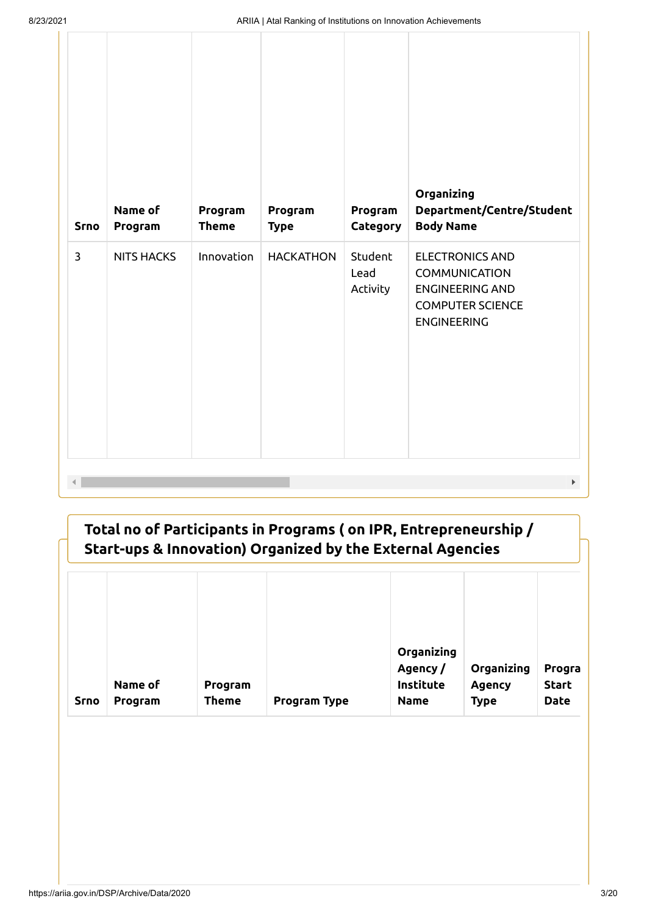| $\mathbf{3}$<br>Innovation<br>Student<br><b>NITS HACKS</b><br><b>HACKATHON</b><br><b>ELECTRONICS AND</b><br>Lead<br><b>COMMUNICATION</b><br><b>ENGINEERING AND</b><br>Activity<br><b>COMPUTER SCIENCE</b><br><b>ENGINEERING</b> | <b>Srno</b> | Name of<br>Program | Program<br><b>Theme</b> | Program<br><b>Type</b> | Program<br>Category | Organizing<br>Department/Centre/Student<br><b>Body Name</b> |
|---------------------------------------------------------------------------------------------------------------------------------------------------------------------------------------------------------------------------------|-------------|--------------------|-------------------------|------------------------|---------------------|-------------------------------------------------------------|
|                                                                                                                                                                                                                                 |             |                    |                         |                        |                     |                                                             |

| Srno | Name of<br>Program | Program<br><b>Theme</b> | <b>Program Type</b> | Organizing<br>Agency/<br><b>Institute</b><br><b>Name</b> | Organizing<br><b>Agency</b><br><b>Type</b> | Progra<br><b>Start</b><br><b>Date</b> |
|------|--------------------|-------------------------|---------------------|----------------------------------------------------------|--------------------------------------------|---------------------------------------|
|------|--------------------|-------------------------|---------------------|----------------------------------------------------------|--------------------------------------------|---------------------------------------|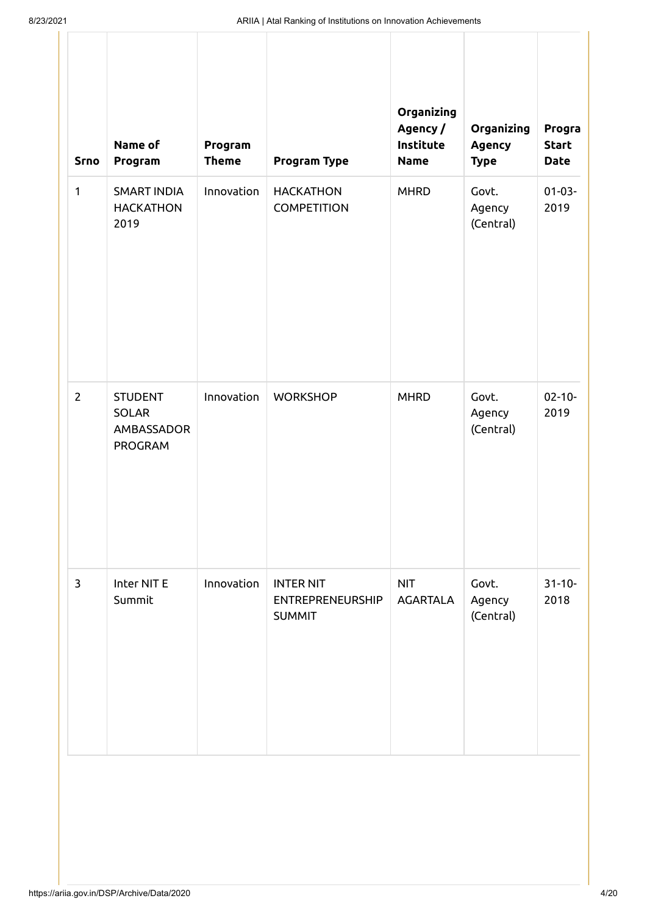| Srno         | Name of<br>Program                                      | Program<br><b>Theme</b> | Program Type                                                 | Organizing<br>Agency/<br>Institute<br><b>Name</b> | Organizing<br><b>Agency</b><br><b>Type</b> | Progra<br><b>Start</b><br><b>Date</b> |
|--------------|---------------------------------------------------------|-------------------------|--------------------------------------------------------------|---------------------------------------------------|--------------------------------------------|---------------------------------------|
| $\mathbf{1}$ | <b>SMART INDIA</b><br><b>HACKATHON</b><br>2019          | Innovation              | <b>HACKATHON</b><br><b>COMPETITION</b>                       | <b>MHRD</b>                                       | Govt.<br>Agency<br>(Central)               | $01 - 03 -$<br>2019                   |
| $\mathbf{2}$ | <b>STUDENT</b><br><b>SOLAR</b><br>AMBASSADOR<br>PROGRAM | Innovation              | <b>WORKSHOP</b>                                              | <b>MHRD</b>                                       | Govt.<br>Agency<br>(Central)               | $02 - 10 -$<br>2019                   |
| $\mathbf{3}$ | Inter NIT E<br>Summit                                   | Innovation              | <b>INTER NIT</b><br><b>ENTREPRENEURSHIP</b><br><b>SUMMIT</b> | <b>NIT</b><br><b>AGARTALA</b>                     | Govt.<br>Agency<br>(Central)               | $31 - 10 -$<br>2018                   |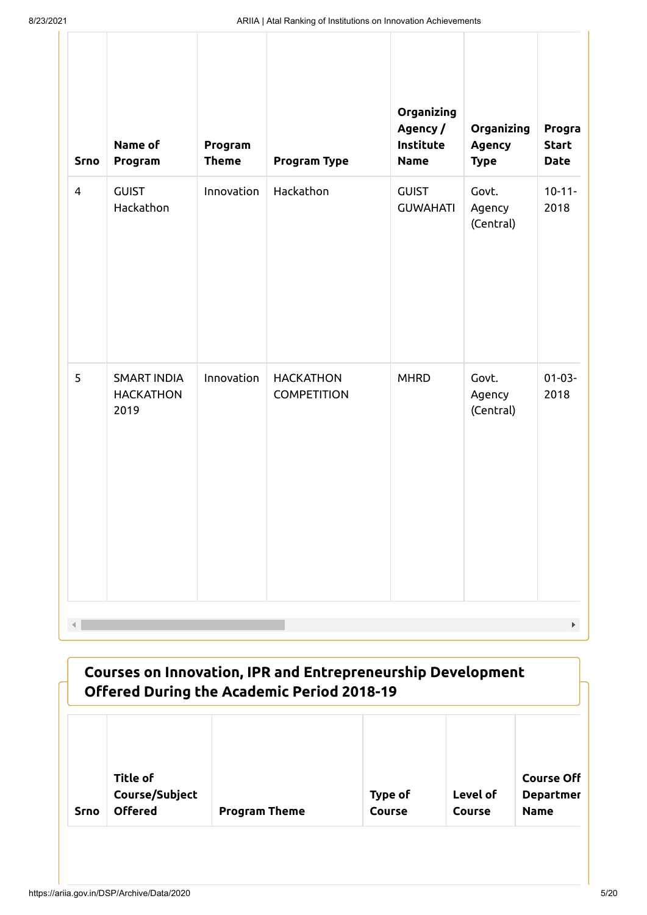| <b>Srno</b>    | Name of<br>Program                             | Program<br><b>Theme</b> | Program Type                           | Organizing<br>Agency/<br>Institute<br><b>Name</b> | Organizing<br><b>Agency</b><br><b>Type</b> | Progra<br><b>Start</b><br><b>Date</b> |
|----------------|------------------------------------------------|-------------------------|----------------------------------------|---------------------------------------------------|--------------------------------------------|---------------------------------------|
| $\overline{4}$ | <b>GUIST</b><br>Hackathon                      | Innovation              | Hackathon                              | <b>GUIST</b><br><b>GUWAHATI</b>                   | Govt.<br>Agency<br>(Central)               | $10 - 11 -$<br>2018                   |
| 5              | <b>SMART INDIA</b><br><b>HACKATHON</b><br>2019 | Innovation              | <b>HACKATHON</b><br><b>COMPETITION</b> | <b>MHRD</b>                                       | Govt.<br>Agency<br>(Central)               | $01-03-$<br>2018                      |

| Courses on Innovation, IPR and Entrepreneurship Development<br><b>Offered During the Academic Period 2018-19</b> |                                              |                      |                   |                    |                                                      |  |  |
|------------------------------------------------------------------------------------------------------------------|----------------------------------------------|----------------------|-------------------|--------------------|------------------------------------------------------|--|--|
| <b>Srno</b>                                                                                                      | Title of<br>Course/Subject<br><b>Offered</b> | <b>Program Theme</b> | Type of<br>Course | Level of<br>Course | <b>Course Off</b><br><b>Departmer</b><br><b>Name</b> |  |  |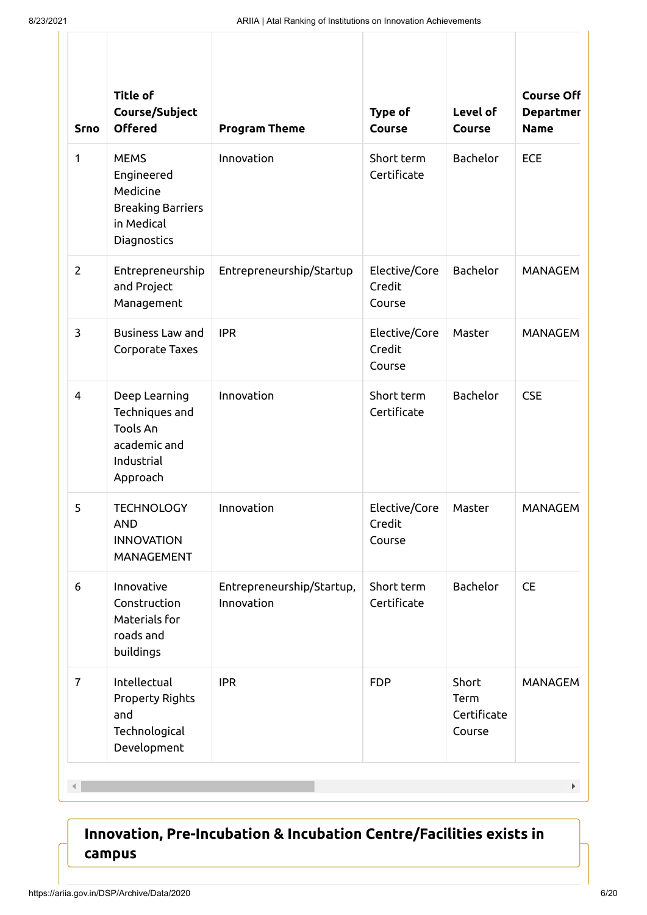| <b>Srno</b>                                                                                       | <b>Title of</b><br>Course/Subject<br><b>Offered</b>                                            | <b>Program Theme</b>                    | Type of<br><b>Course</b>          | Level of<br>Course                     | <b>Course Off</b><br><b>Departmer</b><br><b>Name</b> |
|---------------------------------------------------------------------------------------------------|------------------------------------------------------------------------------------------------|-----------------------------------------|-----------------------------------|----------------------------------------|------------------------------------------------------|
| $\mathbf{1}$                                                                                      | <b>MEMS</b><br>Engineered<br>Medicine<br><b>Breaking Barriers</b><br>in Medical<br>Diagnostics | Innovation                              | Short term<br>Certificate         | <b>Bachelor</b>                        | <b>ECE</b>                                           |
| $\overline{2}$                                                                                    | Entrepreneurship<br>and Project<br>Management                                                  | Entrepreneurship/Startup                | Elective/Core<br>Credit<br>Course | <b>Bachelor</b>                        | <b>MANAGEM</b>                                       |
| 3<br><b>Business Law and</b><br>Corporate Taxes                                                   |                                                                                                | <b>IPR</b>                              | Elective/Core<br>Credit<br>Course | Master                                 | <b>MANAGEM</b>                                       |
| Deep Learning<br>4<br>Techniques and<br><b>Tools An</b><br>academic and<br>Industrial<br>Approach |                                                                                                | Innovation                              | Short term<br>Certificate         | <b>Bachelor</b>                        | <b>CSE</b>                                           |
| 5                                                                                                 | <b>TECHNOLOGY</b><br><b>AND</b><br><b>INNOVATION</b><br>MANAGEMENT                             | Innovation                              | Elective/Core<br>Credit<br>Course | Master                                 | <b>MANAGEM</b>                                       |
| 6                                                                                                 | Innovative<br>Construction<br>Materials for<br>roads and<br>buildings                          | Entrepreneurship/Startup,<br>Innovation | Short term<br>Certificate         | Bachelor                               | <b>CE</b>                                            |
| $\overline{7}$                                                                                    | Intellectual<br><b>Property Rights</b><br>and<br>Technological<br>Development                  | <b>IPR</b>                              | <b>FDP</b>                        | Short<br>Term<br>Certificate<br>Course | <b>MANAGEM</b>                                       |

 $\mathcal{A}$ 

#### **Innovation, Pre-Incubation & Incubation Centre/Facilities exists in campus**

 $\mathbf{F}^{\dagger}$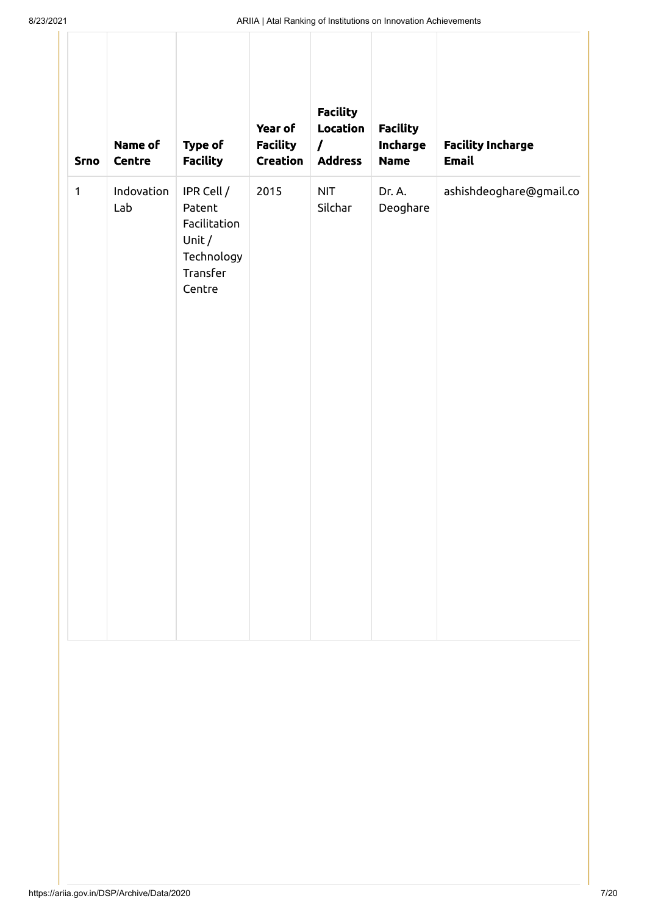| <b>Srno</b>  | Name of<br>Centre | Type of<br><b>Facility</b>                                                        | Year of<br><b>Facility</b><br>Creation | <b>Facility</b><br>Location<br>$\prime$<br><b>Address</b> | <b>Facility</b><br>Incharge<br><b>Name</b> | <b>Facility Incharge</b><br><b>Email</b> |
|--------------|-------------------|-----------------------------------------------------------------------------------|----------------------------------------|-----------------------------------------------------------|--------------------------------------------|------------------------------------------|
| $\mathbf{1}$ | Indovation<br>Lab | IPR Cell /<br>Patent<br>Facilitation<br>Unit/<br>Technology<br>Transfer<br>Centre | 2015                                   | <b>NIT</b><br>Silchar                                     | Dr. A.<br>Deoghare                         | ashishdeoghare@gmail.co                  |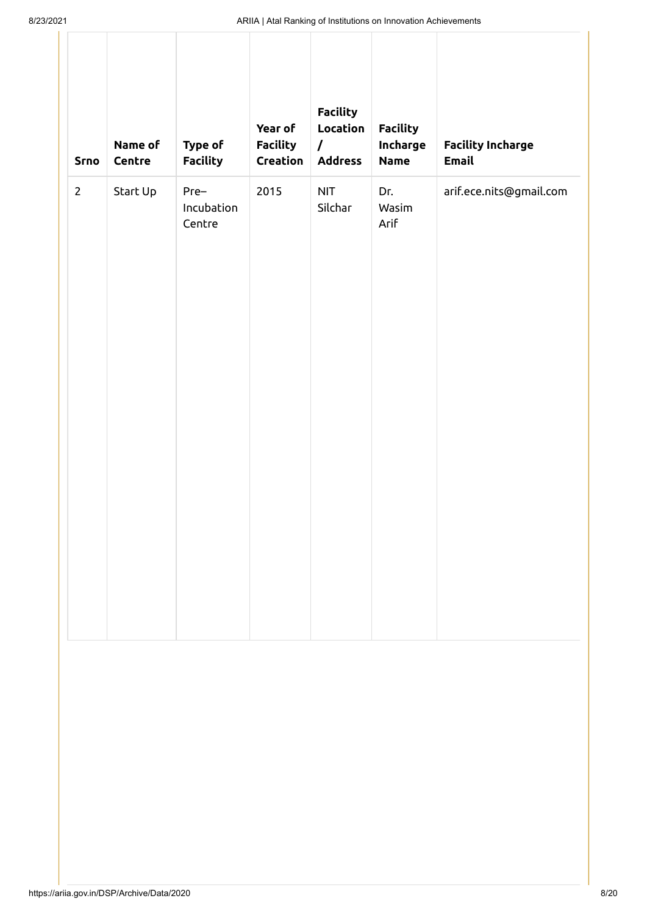| <b>Srno</b>    | Name of<br>Centre | Type of<br><b>Facility</b>   | Year of<br><b>Facility</b><br>Creation | <b>Facility</b><br>Location<br>$\prime$<br><b>Address</b> | <b>Facility</b><br>Incharge<br><b>Name</b> | <b>Facility Incharge</b><br><b>Email</b> |
|----------------|-------------------|------------------------------|----------------------------------------|-----------------------------------------------------------|--------------------------------------------|------------------------------------------|
| $\overline{2}$ | Start Up          | Pre-<br>Incubation<br>Centre | 2015                                   | <b>NIT</b><br>Silchar                                     | Dr.<br>Wasim<br>Arif                       | arif.ece.nits@gmail.com                  |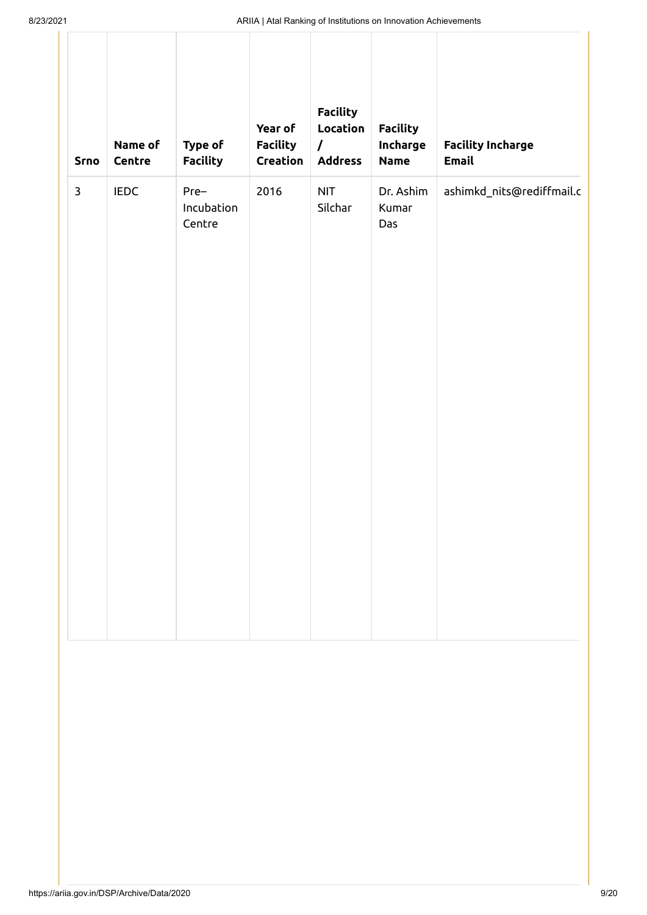| <b>Srno</b>  | Name of<br>Centre | Type of<br><b>Facility</b>   | Year of<br><b>Facility</b><br>Creation | <b>Facility</b><br>Location<br>$\prime$<br><b>Address</b> | <b>Facility</b><br>Incharge<br><b>Name</b> | <b>Facility Incharge</b><br><b>Email</b> |
|--------------|-------------------|------------------------------|----------------------------------------|-----------------------------------------------------------|--------------------------------------------|------------------------------------------|
| $\mathbf{3}$ | <b>IEDC</b>       | Pre-<br>Incubation<br>Centre | 2016                                   | <b>NIT</b><br>Silchar                                     | Dr. Ashim<br>Kumar<br>Das                  | ashimkd_nits@rediffmail.c                |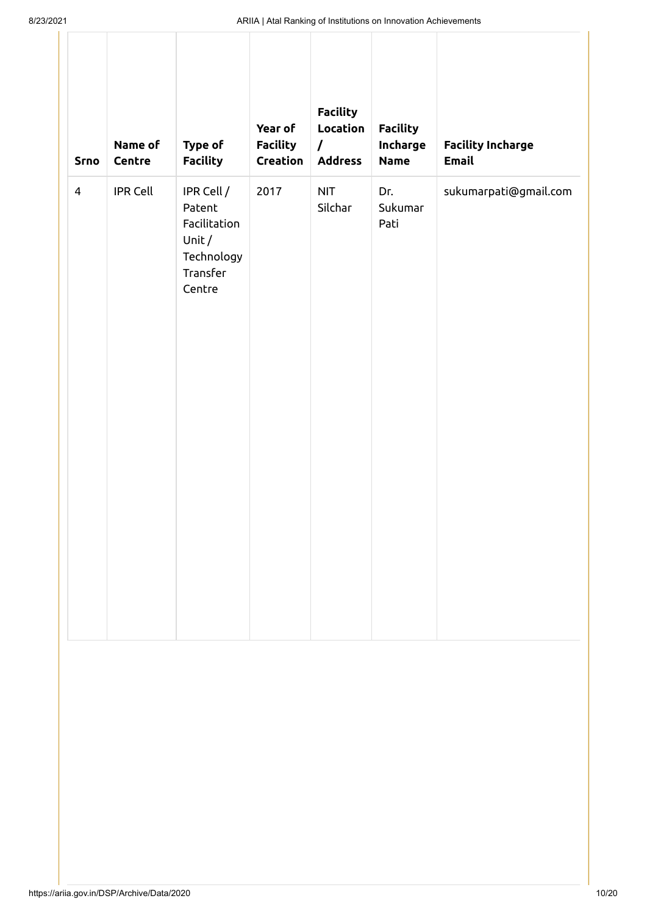| Srno           | Name of<br>Centre | Type of<br><b>Facility</b>                                                        | Year of<br><b>Facility</b><br>Creation | <b>Facility</b><br>Location<br>$\prime$<br><b>Address</b> | <b>Facility</b><br>Incharge<br><b>Name</b> | <b>Facility Incharge</b><br>Email |
|----------------|-------------------|-----------------------------------------------------------------------------------|----------------------------------------|-----------------------------------------------------------|--------------------------------------------|-----------------------------------|
| $\overline{4}$ | <b>IPR Cell</b>   | IPR Cell /<br>Patent<br>Facilitation<br>Unit/<br>Technology<br>Transfer<br>Centre | 2017                                   | <b>NIT</b><br>Silchar                                     | Dr.<br>Sukumar<br>Pati                     | sukumarpati@gmail.com             |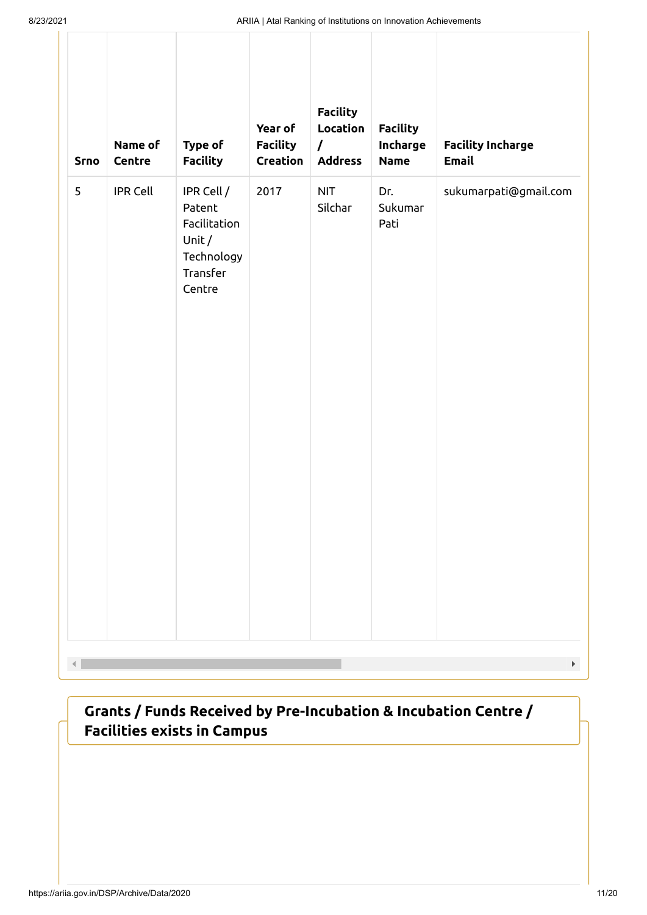| <b>Srno</b> | Name of<br>Centre | Type of<br><b>Facility</b>                                                        | Year of<br><b>Facility</b><br>Creation | <b>Facility</b><br>Location<br>$\prime$<br><b>Address</b> | <b>Facility</b><br>Incharge<br><b>Name</b> | <b>Facility Incharge</b><br><b>Email</b> |
|-------------|-------------------|-----------------------------------------------------------------------------------|----------------------------------------|-----------------------------------------------------------|--------------------------------------------|------------------------------------------|
| 5           | <b>IPR Cell</b>   | IPR Cell /<br>Patent<br>Facilitation<br>Unit/<br>Technology<br>Transfer<br>Centre | 2017                                   | <b>NIT</b><br>Silchar                                     | Dr.<br>Sukumar<br>Pati                     | sukumarpati@gmail.com                    |
|             |                   |                                                                                   |                                        |                                                           |                                            |                                          |

**Grants / Funds Received by Pre-Incubation & Incubation Centre / Facilities exists in Campus**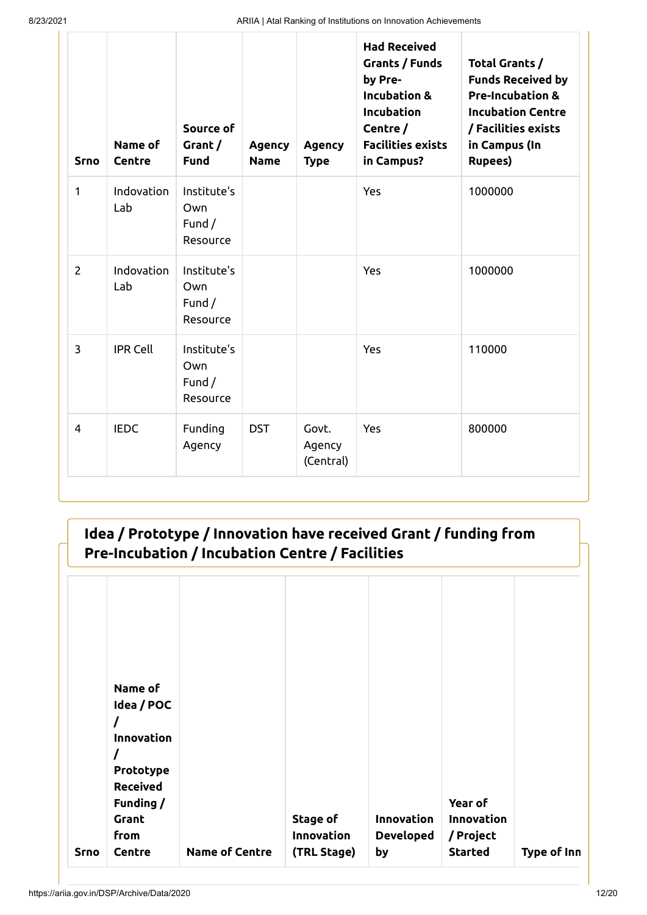| <b>Srno</b>    | Name of<br>Centre | Source of<br>Grant/<br><b>Fund</b>         | <b>Agency</b><br><b>Name</b> | <b>Agency</b><br><b>Type</b> | <b>Had Received</b><br>Grants / Funds<br>by Pre-<br><b>Incubation &amp;</b><br><b>Incubation</b><br>Centre /<br><b>Facilities exists</b><br>in Campus? | Total Grants /<br><b>Funds Received by</b><br><b>Pre-Incubation &amp;</b><br><b>Incubation Centre</b><br>/ Facilities exists<br>in Campus (In<br><b>Rupees)</b> |
|----------------|-------------------|--------------------------------------------|------------------------------|------------------------------|--------------------------------------------------------------------------------------------------------------------------------------------------------|-----------------------------------------------------------------------------------------------------------------------------------------------------------------|
| $\mathbf{1}$   | Indovation<br>Lab | Institute's<br>Own<br>Fund $/$<br>Resource |                              |                              | Yes                                                                                                                                                    | 1000000                                                                                                                                                         |
| $\overline{2}$ | Indovation<br>Lab | Institute's<br>Own<br>Fund $/$<br>Resource |                              |                              | Yes                                                                                                                                                    | 1000000                                                                                                                                                         |
| 3              | <b>IPR Cell</b>   | Institute's<br>Own<br>Fund $/$<br>Resource |                              |                              | Yes                                                                                                                                                    | 110000                                                                                                                                                          |
| $\overline{4}$ | <b>IEDC</b>       | Funding<br>Agency                          | <b>DST</b>                   | Govt.<br>Agency<br>(Central) | Yes                                                                                                                                                    | 800000                                                                                                                                                          |

### **Idea / Prototype / Innovation have received Grant / funding from Pre-Incubation / Incubation Centre / Facilities**

|             | Name of                                                               |                       |                                       |                                      |                                           |             |
|-------------|-----------------------------------------------------------------------|-----------------------|---------------------------------------|--------------------------------------|-------------------------------------------|-------------|
|             | Idea / POC<br>Innovation<br>Prototype<br><b>Received</b><br>Funding / |                       |                                       |                                      | Year of                                   |             |
| <b>Srno</b> | Grant<br>from<br>Centre                                               | <b>Name of Centre</b> | Stage of<br>Innovation<br>(TRL Stage) | Innovation<br><b>Developed</b><br>by | Innovation<br>/ Project<br><b>Started</b> | Type of Inn |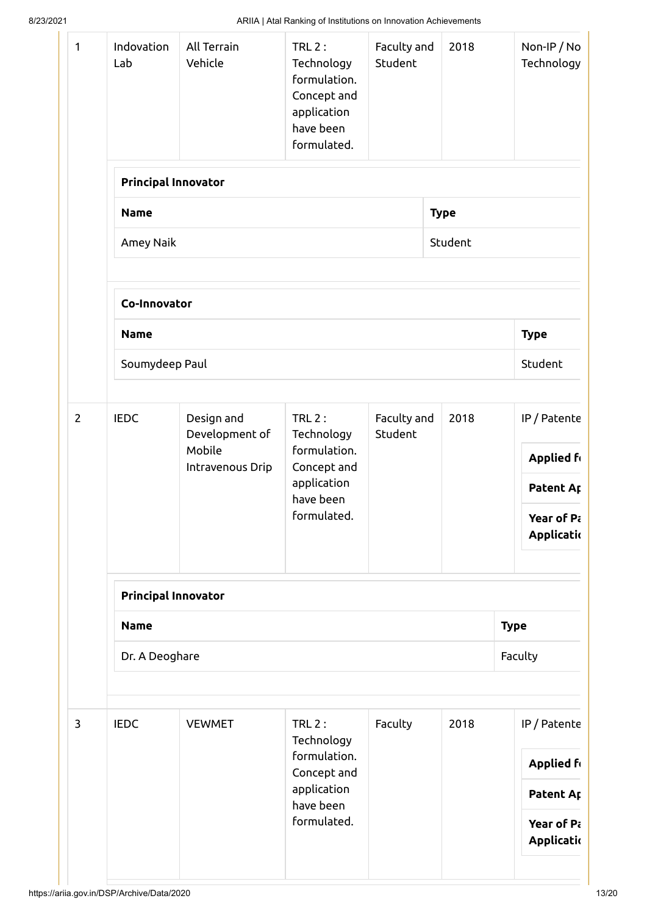| 1              | Indovation<br>Lab          | All Terrain<br>Vehicle       | <b>TRL 2:</b><br>Technology<br>formulation.<br>Concept and<br>application<br>have been<br>formulated. | Faculty and<br>Student | 2018        | Non-IP / No<br>Technology |  |
|----------------|----------------------------|------------------------------|-------------------------------------------------------------------------------------------------------|------------------------|-------------|---------------------------|--|
|                | <b>Principal Innovator</b> |                              |                                                                                                       |                        |             |                           |  |
|                | <b>Name</b>                |                              |                                                                                                       |                        | <b>Type</b> |                           |  |
|                | Amey Naik                  |                              |                                                                                                       |                        | Student     |                           |  |
|                | Co-Innovator               |                              |                                                                                                       |                        |             |                           |  |
|                | <b>Name</b>                |                              |                                                                                                       |                        |             | <b>Type</b>               |  |
|                | Soumydeep Paul             |                              |                                                                                                       |                        |             | Student                   |  |
| $\overline{2}$ | <b>IEDC</b>                | Design and<br>Development of | <b>TRL 2:</b><br>Technology<br>formulation.                                                           | Faculty and<br>Student | 2018        | IP / Patente              |  |
|                |                            | Mobile<br>Intravenous Drip   | Concept and<br>application<br>have been                                                               |                        |             | <b>Applied form</b>       |  |
|                |                            |                              |                                                                                                       |                        |             | Patent Ar                 |  |
|                |                            |                              | formulated.                                                                                           |                        |             | Year of Pa<br>Applicatio  |  |
|                | <b>Principal Innovator</b> |                              |                                                                                                       |                        |             |                           |  |
|                | <b>Name</b>                |                              |                                                                                                       |                        |             | <b>Type</b>               |  |
|                | Faculty<br>Dr. A Deoghare  |                              |                                                                                                       |                        |             |                           |  |
| 3              | <b>IEDC</b>                | <b>VEWMET</b>                | <b>TRL 2:</b><br>Technology                                                                           | Faculty                | 2018        | IP / Patente              |  |
|                |                            |                              | formulation.<br>Concept and                                                                           |                        |             | <b>Applied for</b>        |  |
|                |                            |                              | application<br>have been                                                                              |                        |             | Patent Ap                 |  |
|                |                            |                              | formulated.                                                                                           |                        |             | Year of Pa<br>Applicatio  |  |
|                |                            |                              |                                                                                                       |                        |             |                           |  |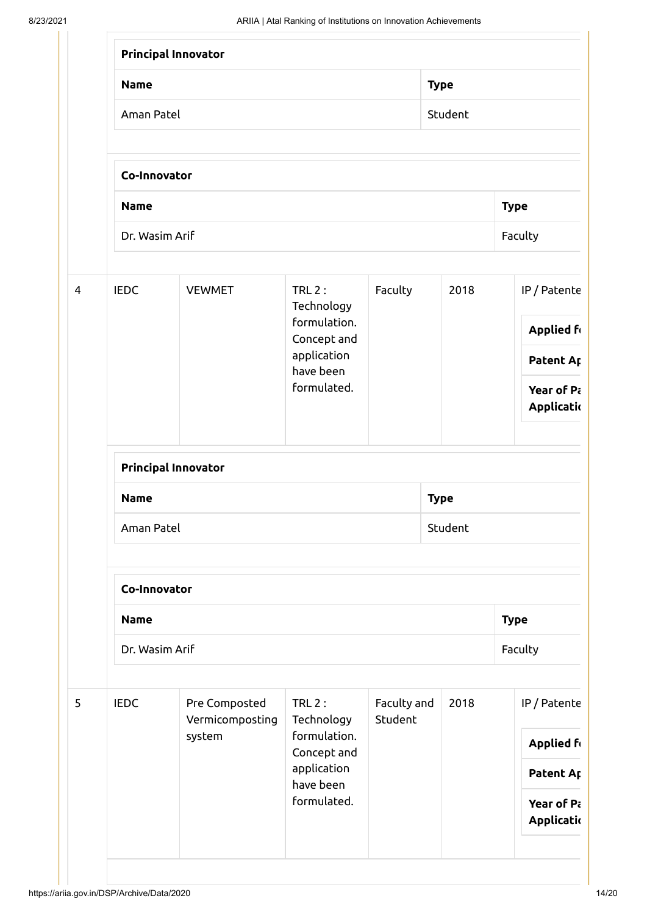|                |                            | Principal Innovator              |                                                         |                        |             |                                |  |  |  |  |
|----------------|----------------------------|----------------------------------|---------------------------------------------------------|------------------------|-------------|--------------------------------|--|--|--|--|
|                | <b>Name</b>                |                                  |                                                         |                        | <b>Type</b> |                                |  |  |  |  |
|                | Aman Patel                 | Student                          |                                                         |                        |             |                                |  |  |  |  |
|                | Co-Innovator               |                                  |                                                         |                        |             |                                |  |  |  |  |
|                | <b>Name</b>                | <b>Type</b>                      |                                                         |                        |             |                                |  |  |  |  |
|                | Dr. Wasim Arif             |                                  |                                                         |                        |             | Faculty                        |  |  |  |  |
| $\overline{4}$ | <b>IEDC</b>                | <b>VEWMET</b>                    |                                                         | Faculty                | 2018        | IP / Patente                   |  |  |  |  |
|                |                            |                                  | formulation.<br>Concept and<br>application<br>have been |                        |             | <b>Applied fr</b><br>Patent Ap |  |  |  |  |
|                |                            |                                  | formulated.                                             |                        |             | Year of Pa<br>Applicatio       |  |  |  |  |
|                | <b>Principal Innovator</b> |                                  |                                                         |                        |             |                                |  |  |  |  |
|                | <b>Name</b>                |                                  |                                                         | <b>Type</b>            |             |                                |  |  |  |  |
|                | Aman Patel<br>Student      |                                  |                                                         |                        |             |                                |  |  |  |  |
|                | Co-Innovator               |                                  |                                                         |                        |             |                                |  |  |  |  |
|                | <b>Name</b>                |                                  |                                                         |                        |             | <b>Type</b>                    |  |  |  |  |
|                | Dr. Wasim Arif             | Faculty                          |                                                         |                        |             |                                |  |  |  |  |
| 5              | <b>IEDC</b>                | Pre Composted<br>Vermicomposting | $TRL2$ :<br>Technology                                  | Faculty and<br>Student | 2018        | IP / Patente                   |  |  |  |  |
|                |                            | system                           | formulation.<br>Concept and                             |                        |             | <b>Applied ft</b>              |  |  |  |  |
|                |                            |                                  | application<br>have been                                |                        |             | Patent Ap                      |  |  |  |  |
|                |                            |                                  | formulated.                                             |                        |             | Year of Pa<br>Applicatio       |  |  |  |  |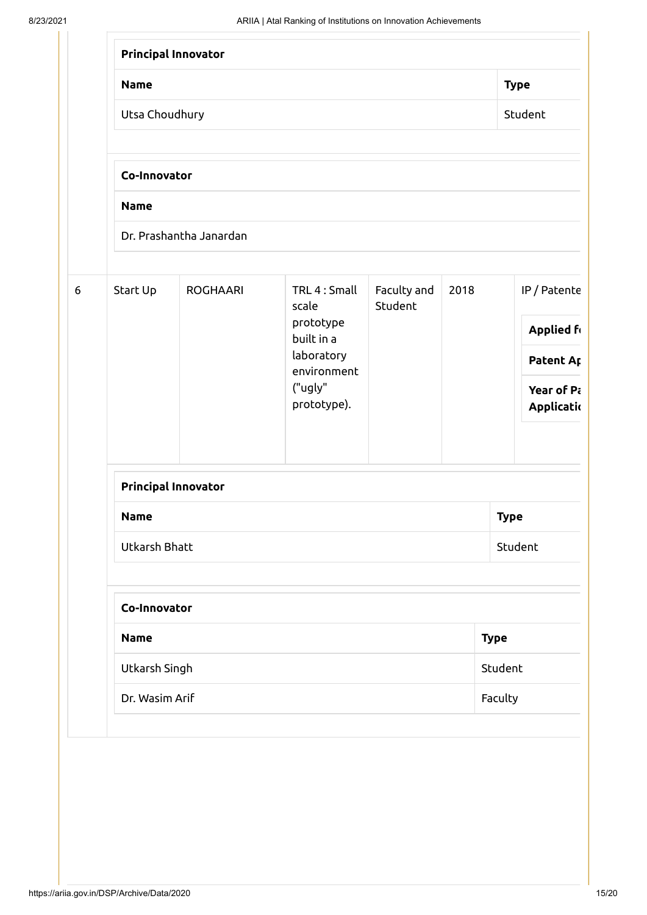|                  |                           | <b>Principal Innovator</b> |                                                    |                        |      |                          |  |  |  |  |
|------------------|---------------------------|----------------------------|----------------------------------------------------|------------------------|------|--------------------------|--|--|--|--|
|                  | <b>Name</b>               |                            | <b>Type</b>                                        |                        |      |                          |  |  |  |  |
|                  | Utsa Choudhury<br>Student |                            |                                                    |                        |      |                          |  |  |  |  |
|                  | Co-Innovator              |                            |                                                    |                        |      |                          |  |  |  |  |
|                  | <b>Name</b>               |                            |                                                    |                        |      |                          |  |  |  |  |
|                  |                           | Dr. Prashantha Janardan    |                                                    |                        |      |                          |  |  |  |  |
| $\boldsymbol{6}$ | Start Up                  | <b>ROGHAARI</b>            | TRL 4 : Small<br>scale<br>prototype                | Faculty and<br>Student | 2018 | IP / Patente             |  |  |  |  |
|                  |                           |                            | built in a<br>laboratory<br>environment<br>("ugly" |                        |      | <b>Applied fr</b>        |  |  |  |  |
|                  |                           |                            |                                                    |                        |      | Patent Ap                |  |  |  |  |
|                  |                           |                            | prototype).                                        |                        |      | Year of Pa<br>Applicatio |  |  |  |  |
|                  |                           | <b>Principal Innovator</b> |                                                    |                        |      |                          |  |  |  |  |
|                  | <b>Name</b>               | <b>Type</b>                |                                                    |                        |      |                          |  |  |  |  |
|                  | Utkarsh Bhatt             |                            |                                                    |                        |      | Student                  |  |  |  |  |
|                  |                           | Co-Innovator               |                                                    |                        |      |                          |  |  |  |  |
|                  | <b>Name</b>               |                            |                                                    |                        |      | <b>Type</b>              |  |  |  |  |
|                  | Utkarsh Singh             |                            |                                                    |                        |      | Student                  |  |  |  |  |
|                  | Dr. Wasim Arif            |                            |                                                    |                        |      | Faculty                  |  |  |  |  |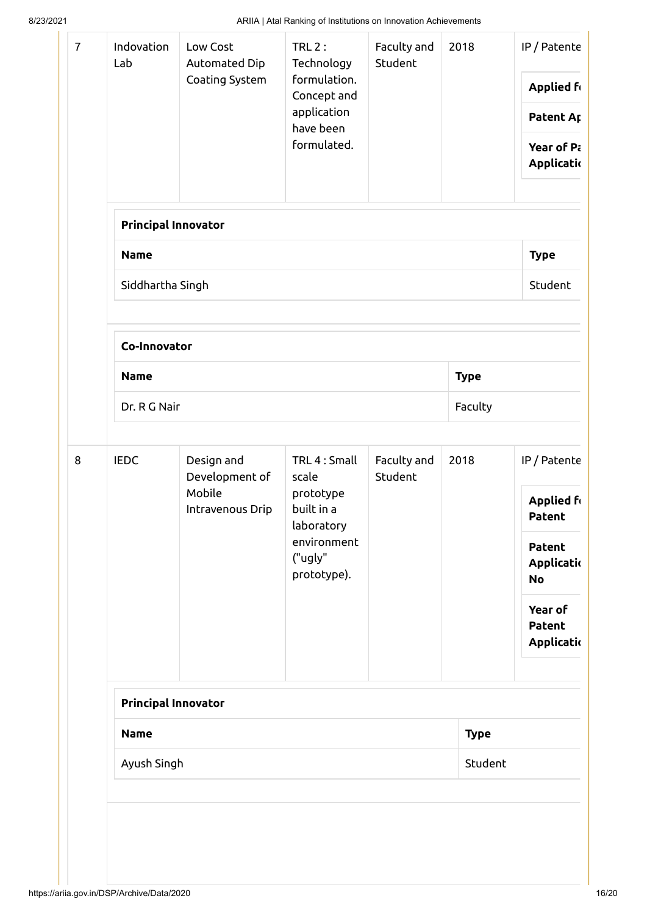| $\overline{7}$ | Indovation<br>Lab          | Low Cost<br>Automated Dip<br>Coating System                | $TRL2$ :<br>Technology<br>formulation.<br>Concept and<br>application<br>have been<br>formulated.         | Faculty and<br>Student | 2018        | IP / Patente<br><b>Applied form</b><br>Patent Ap<br>Year of Pa<br>Applicatio |  |  |  |  |  |
|----------------|----------------------------|------------------------------------------------------------|----------------------------------------------------------------------------------------------------------|------------------------|-------------|------------------------------------------------------------------------------|--|--|--|--|--|
|                | <b>Principal Innovator</b> |                                                            |                                                                                                          |                        |             |                                                                              |  |  |  |  |  |
|                | <b>Name</b>                |                                                            |                                                                                                          |                        |             | <b>Type</b>                                                                  |  |  |  |  |  |
|                | Siddhartha Singh           |                                                            |                                                                                                          |                        |             | Student                                                                      |  |  |  |  |  |
|                | Co-Innovator               |                                                            |                                                                                                          |                        |             |                                                                              |  |  |  |  |  |
|                | <b>Name</b>                | <b>Type</b>                                                |                                                                                                          |                        |             |                                                                              |  |  |  |  |  |
|                | Faculty<br>Dr. R G Nair    |                                                            |                                                                                                          |                        |             |                                                                              |  |  |  |  |  |
| 8              | <b>IEDC</b>                | Design and<br>Development of<br>Mobile<br>Intravenous Drip | TRL 4 : Small<br>scale<br>prototype<br>built in a<br>laboratory<br>environment<br>("ugly"<br>prototype). | Faculty and<br>Student | 2018        | IP / Patente<br><b>Applied ft</b><br><b>Patent</b>                           |  |  |  |  |  |
|                |                            |                                                            |                                                                                                          |                        |             | <b>Patent</b><br>Applicatio<br><b>No</b>                                     |  |  |  |  |  |
|                |                            |                                                            |                                                                                                          |                        |             | Year of<br><b>Patent</b><br>Applicatio                                       |  |  |  |  |  |
|                | <b>Principal Innovator</b> |                                                            |                                                                                                          |                        |             |                                                                              |  |  |  |  |  |
|                | <b>Name</b>                |                                                            |                                                                                                          |                        | <b>Type</b> |                                                                              |  |  |  |  |  |
|                | Student<br>Ayush Singh     |                                                            |                                                                                                          |                        |             |                                                                              |  |  |  |  |  |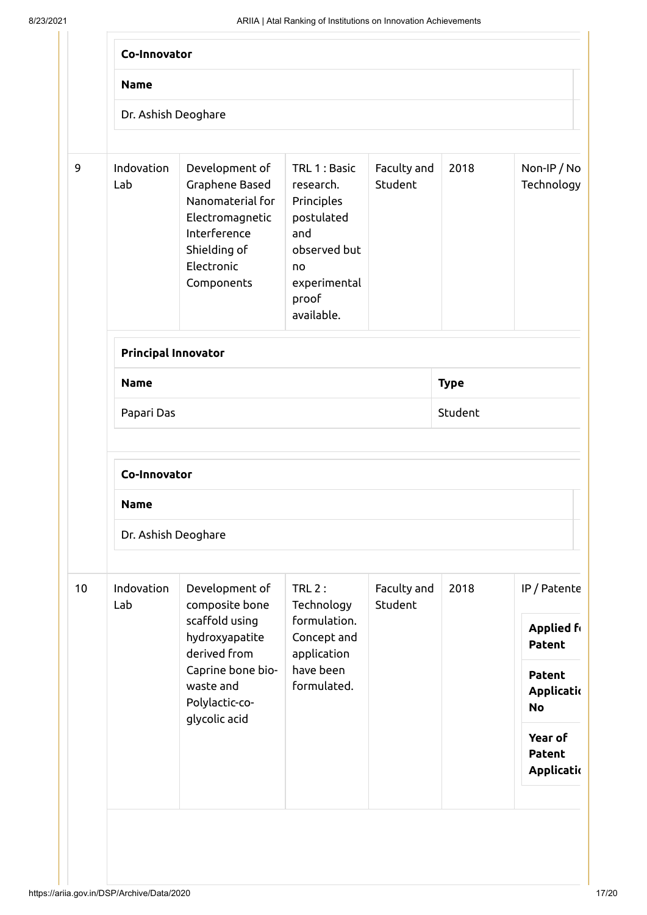|    | <b>Name</b>                |                                                                                                                                     |                                                                                                                           |                        |             |                                          |  |  |  |  |  |  |
|----|----------------------------|-------------------------------------------------------------------------------------------------------------------------------------|---------------------------------------------------------------------------------------------------------------------------|------------------------|-------------|------------------------------------------|--|--|--|--|--|--|
|    |                            |                                                                                                                                     |                                                                                                                           |                        |             |                                          |  |  |  |  |  |  |
|    | Dr. Ashish Deoghare        |                                                                                                                                     |                                                                                                                           |                        |             |                                          |  |  |  |  |  |  |
| 9  | Indovation<br>Lab          | Development of<br>Graphene Based<br>Nanomaterial for<br>Electromagnetic<br>Interference<br>Shielding of<br>Electronic<br>Components | TRL 1: Basic<br>research.<br>Principles<br>postulated<br>and<br>observed but<br>no<br>experimental<br>proof<br>available. | Faculty and<br>Student | 2018        | Non-IP / No<br>Technology                |  |  |  |  |  |  |
|    | <b>Principal Innovator</b> |                                                                                                                                     |                                                                                                                           |                        |             |                                          |  |  |  |  |  |  |
|    | <b>Name</b>                |                                                                                                                                     |                                                                                                                           |                        | <b>Type</b> |                                          |  |  |  |  |  |  |
|    | Papari Das                 |                                                                                                                                     |                                                                                                                           |                        | Student     |                                          |  |  |  |  |  |  |
|    | Co-Innovator               |                                                                                                                                     |                                                                                                                           |                        |             |                                          |  |  |  |  |  |  |
|    | <b>Name</b>                |                                                                                                                                     |                                                                                                                           |                        |             |                                          |  |  |  |  |  |  |
|    | Dr. Ashish Deoghare        |                                                                                                                                     |                                                                                                                           |                        |             |                                          |  |  |  |  |  |  |
| 10 | Indovation<br>Lab          | Development of<br>composite bone                                                                                                    | <b>TRL 2:</b><br>Technology                                                                                               | Faculty and<br>Student | 2018        | IP / Patente                             |  |  |  |  |  |  |
|    |                            | scaffold using<br>hydroxyapatite<br>derived from                                                                                    | formulation.<br>Concept and<br>application                                                                                |                        |             | <b>Applied fr</b><br><b>Patent</b>       |  |  |  |  |  |  |
|    |                            | Caprine bone bio-<br>waste and<br>Polylactic-co-<br>glycolic acid                                                                   | have been<br>formulated.                                                                                                  |                        |             | <b>Patent</b><br>Applicatio<br><b>No</b> |  |  |  |  |  |  |
|    |                            |                                                                                                                                     |                                                                                                                           |                        |             | Year of<br><b>Patent</b><br>Applicatio   |  |  |  |  |  |  |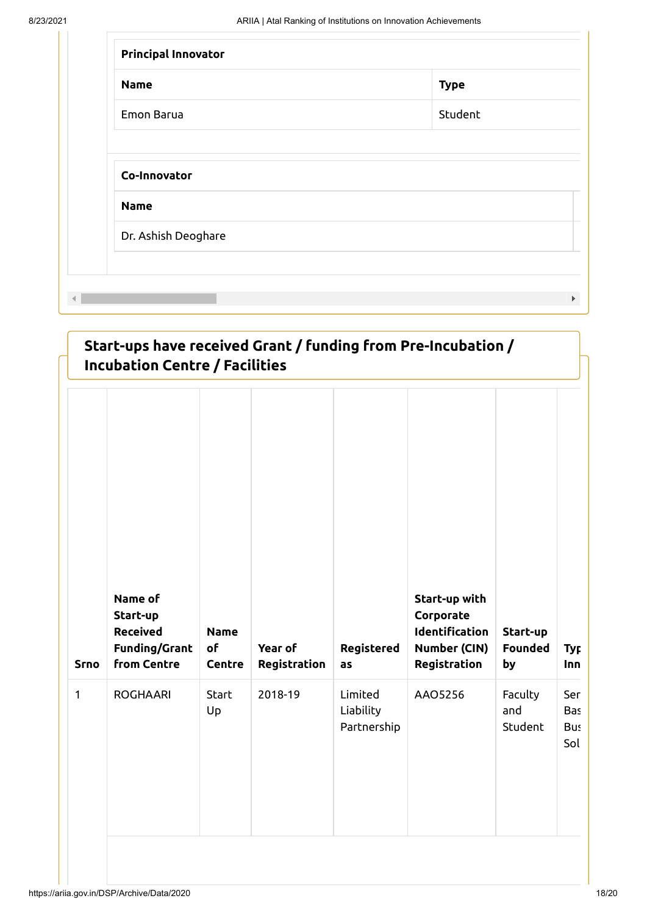| <b>Name</b> | <b>Type</b> |
|-------------|-------------|
| Emon Barua  | Student     |
| <b>Name</b> |             |
|             |             |

|              | Start-ups have received Grant / funding from Pre-Incubation /<br><b>Incubation Centre / Facilities</b> |                             |                         |                                     |                                                                              |                                  |                                 |
|--------------|--------------------------------------------------------------------------------------------------------|-----------------------------|-------------------------|-------------------------------------|------------------------------------------------------------------------------|----------------------------------|---------------------------------|
| <b>Srno</b>  | Name of<br>Start-up<br><b>Received</b><br><b>Funding/Grant</b><br><b>from Centre</b>                   | <b>Name</b><br>of<br>Centre | Year of<br>Registration | Registered<br>as                    | Start-up with<br>Corporate<br>Identification<br>Number (CIN)<br>Registration | Start-up<br><b>Founded</b><br>by | <b>Typ</b><br>Inn               |
| $\mathbf{1}$ | <b>ROGHAARI</b>                                                                                        | Start<br>Up                 | 2018-19                 | Limited<br>Liability<br>Partnership | AAO5256                                                                      | Faculty<br>and<br>Student        | Ser<br><b>Bas</b><br>Bus<br>Sol |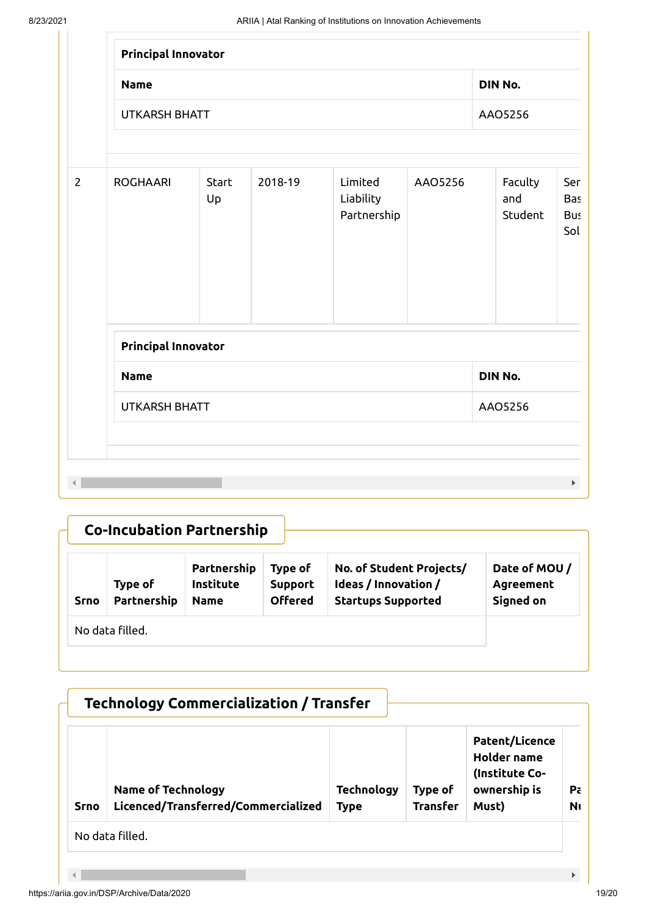|                | <b>Principal Innovator</b> |             |         |                                     |         |         |                           |                                 |
|----------------|----------------------------|-------------|---------|-------------------------------------|---------|---------|---------------------------|---------------------------------|
|                | <b>Name</b>                |             |         |                                     |         | DIN No. |                           |                                 |
|                | <b>UTKARSH BHATT</b>       |             |         |                                     |         |         | AAO5256                   |                                 |
| $\overline{2}$ | <b>ROGHAARI</b>            | Start<br>Up | 2018-19 | Limited<br>Liability<br>Partnership | AAO5256 |         | Faculty<br>and<br>Student | Ser<br>Bas<br><b>Bus</b><br>Sol |
|                | Principal Innovator        |             |         |                                     |         |         |                           |                                 |
|                | <b>Name</b>                |             |         |                                     |         | DIN No. |                           |                                 |
|                | <b>UTKARSH BHATT</b>       |             |         |                                     |         |         | AAO5256                   |                                 |

|             |                        | <b>Co-Incubation Partnership</b>        |                                             |                                                                               |                                        |
|-------------|------------------------|-----------------------------------------|---------------------------------------------|-------------------------------------------------------------------------------|----------------------------------------|
| <b>Srno</b> | Type of<br>Partnership | Partnership<br>Institute<br><b>Name</b> | Type of<br><b>Support</b><br><b>Offered</b> | No. of Student Projects/<br>Ideas / Innovation /<br><b>Startups Supported</b> | Date of MOU/<br>Agreement<br>Signed on |
|             | No data filled.        |                                         |                                             |                                                                               |                                        |

|             | <b>Technology Commercialization / Transfer</b>                   |                                  |                            |                                                                                        |                      |
|-------------|------------------------------------------------------------------|----------------------------------|----------------------------|----------------------------------------------------------------------------------------|----------------------|
| <b>Srno</b> | <b>Name of Technology</b><br>Licenced/Transferred/Commercialized | <b>Technology</b><br><b>Type</b> | Type of<br><b>Transfer</b> | <b>Patent/Licence</b><br><b>Holder name</b><br>(Institute Co-<br>ownership is<br>Must) | Pa<br>N <sub>0</sub> |
|             | No data filled.                                                  |                                  |                            |                                                                                        |                      |
|             |                                                                  |                                  |                            |                                                                                        | Þ.                   |

#### https://ariia.gov.in/DSP/Archive/Data/2020